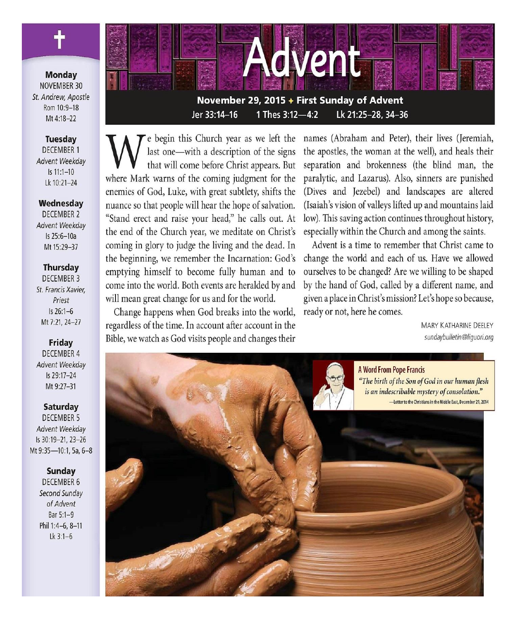**Monday** NOVEMBER 30 St. Andrew. Apostle Rom 10:9-18 Mt 4:18-22

#### **Tuesday DECEMBER 1** Advent Weekdav  $Is 11:1-10$ Lk 10:21-24

Wednesday **DECEMBER 2** Advent Weekdav Is 25:6-10a Mt 15:29-37

#### **Thursday**

**DECEMBER 3** St. Francis Xavier, Priest  $Is 26:1-6$ Mt 7:21, 24-27

**Friday DECEMBER 4** Advent Weekday Is 29:17-24 Mt 9:27-31

**Saturday** 

**DECEMBER 5** Advent Weekday Is 30:19-21, 23-26 Mt 9:35-10:1, 5a, 6-8

#### **Sunday**

**DECEMBER 6** Second Sunday of Advent Bar 5:1-9 Phil 1:4-6, 8-11  $Lk$  3:1-6



Jer 33:14-16 1 Thes 3:12-4:2 Lk 21:25-28, 34-36

e begin this Church year as we left the last one—with a description of the signs that will come before Christ appears. But where Mark warns of the coming judgment for the enemies of God, Luke, with great subtlety, shifts the nuance so that people will hear the hope of salvation. "Stand erect and raise your head," he calls out. At the end of the Church year, we meditate on Christ's coming in glory to judge the living and the dead. In the beginning, we remember the Incarnation: God's emptying himself to become fully human and to come into the world. Both events are heralded by and will mean great change for us and for the world.

Change happens when God breaks into the world, regardless of the time. In account after account in the Bible, we watch as God visits people and changes their

names (Abraham and Peter), their lives (Jeremiah, the apostles, the woman at the well), and heals their separation and brokenness (the blind man, the paralytic, and Lazarus). Also, sinners are punished (Dives and Jezebel) and landscapes are altered (Isaiah's vision of valleys lifted up and mountains laid low). This saving action continues throughout history, especially within the Church and among the saints.

Advent is a time to remember that Christ came to change the world and each of us. Have we allowed ourselves to be changed? Are we willing to be shaped by the hand of God, called by a different name, and given a place in Christ's mission? Let's hope so because, ready or not, here he comes.

> **MARY KATHARINE DEFLEY** sundaybulletin@liguori.org

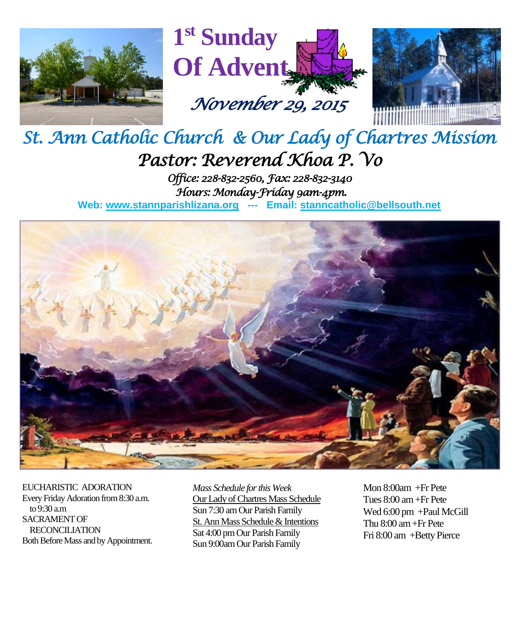





# *St. Ann Catholic Church & Our Lady of Chartres Mission Pastor: Reverend Khoa P. Vo*

*Office: 228-832-2560, Fax: 228-832-3140 Hours: Monday-Friday 9am-4pm.* 

**Web: www.stannparishlizana.org --- Email: [stanncatholic@bellsouth.net](mailto:stanncatholic@bellsouth.net)**



EUCHARISTIC ADORATION Every Friday Adoration from 8:30 a.m. to 9:30 a.m SACRAMENT OF RECONCILIATION Both Before Mass and by Appointment. *Mass Schedule for this Week*  Our Lady of Chartres Mass Schedule Sun 7:30 am Our Parish Family St. Ann Mass Schedule & Intentions Sat 4:00 pm Our Parish Family Sun 9:00am Our Parish Family

Mon 8:00am +Fr Pete Tues 8:00 am +Fr Pete Wed 6:00 pm +Paul McGill Thu 8:00 am+Fr Pete Fri 8:00 am +Betty Pierce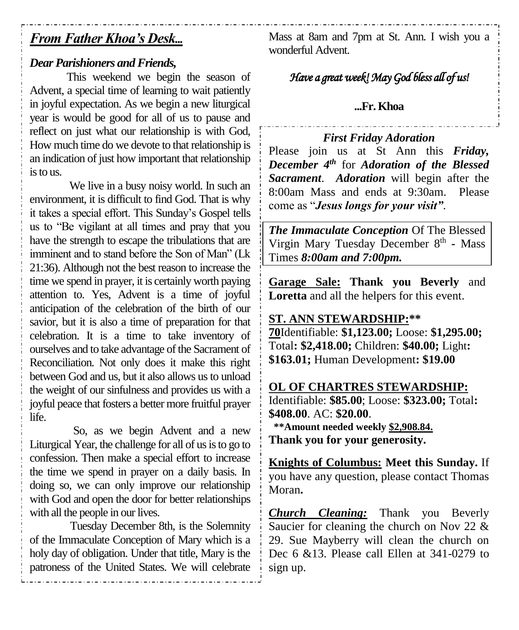## *From Father Khoa's Desk...*

### *Dear Parishioners and Friends,*

This weekend we begin the season of Advent, a special time of learning to wait patiently in joyful expectation. As we begin a new liturgical year is would be good for all of us to pause and reflect on just what our relationship is with God, How much time do we devote to that relationship is an indication of just how important that relationship is to us.

We live in a busy noisy world. In such an environment, it is difficult to find God. That is why it takes a special effort. This Sunday's Gospel tells us to "Be vigilant at all times and pray that you have the strength to escape the tribulations that are imminent and to stand before the Son of Man" (Lk 21:36). Although not the best reason to increase the time we spend in prayer, it is certainly worth paying attention to. Yes, Advent is a time of joyful anticipation of the celebration of the birth of our savior, but it is also a time of preparation for that celebration. It is a time to take inventory of ourselves and to take advantage of the Sacrament of Reconciliation. Not only does it make this right between God and us, but it also allows us to unload the weight of our sinfulness and provides us with a joyful peace that fosters a better more fruitful prayer life.

So, as we begin Advent and a new Liturgical Year, the challenge for all of us is to go to confession. Then make a special effort to increase the time we spend in prayer on a daily basis. In doing so, we can only improve our relationship with God and open the door for better relationships with all the people in our lives.

Tuesday December 8th, is the Solemnity of the Immaculate Conception of Mary which is a holy day of obligation. Under that title, Mary is the patroness of the United States. We will celebrate Mass at 8am and 7pm at St. Ann. I wish you a wonderful Advent.

## *Have a great week! May God bless all of us!*

#### **...Fr. Khoa**

### *First Friday Adoration*

Please join us at St Ann this *Friday, December 4th* for *Adoration of the Blessed Sacrament*. *Adoration* will begin after the 8:00am Mass and ends at 9:30am. Please come as "*Jesus longs for your visit"*.

*The Immaculate Conception* Of The Blessed Virgin Mary Tuesday December 8<sup>th</sup> - Mass Times *8:00am and 7:00pm.*

**Garage Sale: Thank you Beverly** and **Loretta** and all the helpers for this event.

#### **ST. ANN STEWARDSHIP:\*\***

**70**Identifiable: **\$1,123.00;** Loose: **\$1,295.00;**  Total**: \$2,418.00;** Children: **\$40.00;** Light**: \$163.01;** Human Development**: \$19.00**

#### **OL OF CHARTRES STEWARDSHIP:**

Identifiable: **\$85.00**; Loose: **\$323.00;** Total**: \$408.00**. AC: **\$20.00**.  **\*\*Amount needed weekly \$2,908.84. Thank you for your generosity.**

**Knights of Columbus: Meet this Sunday.** If you have any question, please contact Thomas Moran**.**

*Church Cleaning:* Thank you Beverly Saucier for cleaning the church on Nov 22 & 29. Sue Mayberry will clean the church on Dec 6 &13. Please call Ellen at 341-0279 to sign up.